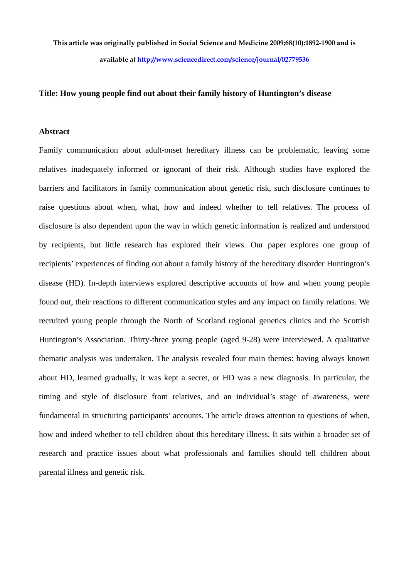**This article was originally published in Social Science and Medicine 2009;68(10):1892-1900 and is available at<http://www.sciencedirect.com/science/journal/02779536>**

#### **Title: How young people find out about their family history of Huntington's disease**

## **Abstract**

Family communication about adult-onset hereditary illness can be problematic, leaving some relatives inadequately informed or ignorant of their risk. Although studies have explored the barriers and facilitators in family communication about genetic risk, such disclosure continues to raise questions about when, what, how and indeed whether to tell relatives. The process of disclosure is also dependent upon the way in which genetic information is realized and understood by recipients, but little research has explored their views. Our paper explores one group of recipients' experiences of finding out about a family history of the hereditary disorder Huntington's disease (HD). In-depth interviews explored descriptive accounts of how and when young people found out, their reactions to different communication styles and any impact on family relations. We recruited young people through the North of Scotland regional genetics clinics and the Scottish Huntington's Association. Thirty-three young people (aged 9-28) were interviewed. A qualitative thematic analysis was undertaken. The analysis revealed four main themes: having always known about HD, learned gradually, it was kept a secret, or HD was a new diagnosis. In particular, the timing and style of disclosure from relatives, and an individual's stage of awareness, were fundamental in structuring participants' accounts. The article draws attention to questions of when, how and indeed whether to tell children about this hereditary illness. It sits within a broader set of research and practice issues about what professionals and families should tell children about parental illness and genetic risk.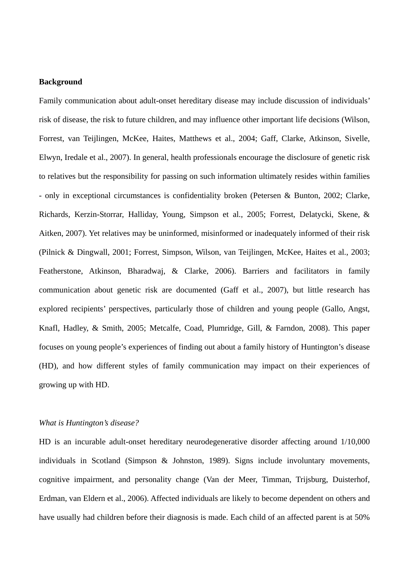## **Background**

Family communication about adult-onset hereditary disease may include discussion of individuals' risk of disease, the risk to future children, and may influence other important life decisions (Wilson, Forrest, van Teijlingen, McKee, Haites, Matthews et al., 2004; Gaff, Clarke, Atkinson, Sivelle, Elwyn, Iredale et al., 2007). In general, health professionals encourage the disclosure of genetic risk to relatives but the responsibility for passing on such information ultimately resides within families - only in exceptional circumstances is confidentiality broken (Petersen & Bunton, 2002; Clarke, Richards, Kerzin-Storrar, Halliday, Young, Simpson et al., 2005; Forrest, Delatycki, Skene, & Aitken, 2007). Yet relatives may be uninformed, misinformed or inadequately informed of their risk (Pilnick & Dingwall, 2001; Forrest, Simpson, Wilson, van Teijlingen, McKee, Haites et al., 2003; Featherstone, Atkinson, Bharadwaj, & Clarke, 2006). Barriers and facilitators in family communication about genetic risk are documented (Gaff et al., 2007), but little research has explored recipients' perspectives, particularly those of children and young people (Gallo, Angst, Knafl, Hadley, & Smith, 2005; Metcalfe, Coad, Plumridge, Gill, & Farndon, 2008). This paper focuses on young people's experiences of finding out about a family history of Huntington's disease (HD), and how different styles of family communication may impact on their experiences of growing up with HD.

#### *What is Huntington's disease?*

HD is an incurable adult-onset hereditary neurodegenerative disorder affecting around 1/10,000 individuals in Scotland (Simpson & Johnston, 1989). Signs include involuntary movements, cognitive impairment, and personality change (Van der Meer, Timman, Trijsburg, Duisterhof, Erdman, van Eldern et al., 2006). Affected individuals are likely to become dependent on others and have usually had children before their diagnosis is made. Each child of an affected parent is at 50%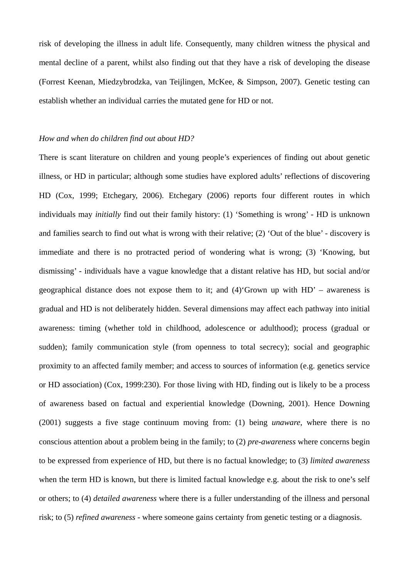risk of developing the illness in adult life. Consequently, many children witness the physical and mental decline of a parent, whilst also finding out that they have a risk of developing the disease (Forrest Keenan, Miedzybrodzka, van Teijlingen, McKee, & Simpson, 2007). Genetic testing can establish whether an individual carries the mutated gene for HD or not.

#### *How and when do children find out about HD?*

There is scant literature on children and young people's experiences of finding out about genetic illness, or HD in particular; although some studies have explored adults' reflections of discovering HD (Cox, 1999; Etchegary, 2006). Etchegary (2006) reports four different routes in which individuals may *initially* find out their family history: (1) 'Something is wrong' - HD is unknown and families search to find out what is wrong with their relative; (2) 'Out of the blue' - discovery is immediate and there is no protracted period of wondering what is wrong; (3) 'Knowing, but dismissing' - individuals have a vague knowledge that a distant relative has HD, but social and/or geographical distance does not expose them to it; and (4)'Grown up with HD' – awareness is gradual and HD is not deliberately hidden. Several dimensions may affect each pathway into initial awareness: timing (whether told in childhood, adolescence or adulthood); process (gradual or sudden); family communication style (from openness to total secrecy); social and geographic proximity to an affected family member; and access to sources of information (e.g. genetics service or HD association) (Cox, 1999:230). For those living with HD, finding out is likely to be a process of awareness based on factual and experiential knowledge (Downing, 2001). Hence Downing (2001) suggests a five stage continuum moving from: (1) being *unaware*, where there is no conscious attention about a problem being in the family; to (2) *pre-awareness* where concerns begin to be expressed from experience of HD, but there is no factual knowledge; to (3) *limited awareness* when the term HD is known, but there is limited factual knowledge e.g. about the risk to one's self or others; to (4) *detailed awareness* where there is a fuller understanding of the illness and personal risk; to (5) *refined awareness* - where someone gains certainty from genetic testing or a diagnosis.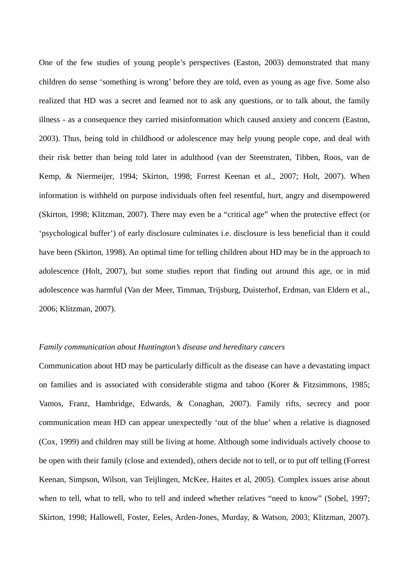One of the few studies of young people's perspectives (Easton, 2003) demonstrated that many children do sense 'something is wrong' before they are told, even as young as age five. Some also realized that HD was a secret and learned not to ask any questions, or to talk about, the family illness - as a consequence they carried misinformation which caused anxiety and concern (Easton, 2003). Thus, being told in childhood or adolescence may help young people cope, and deal with their risk better than being told later in adulthood (van der Steenstraten, Tibben, Roos, van de Kemp, & Niermeijer, 1994; Skirton, 1998; Forrest Keenan et al., 2007; Holt, 2007). When information is withheld on purpose individuals often feel resentful, hurt, angry and disempowered (Skirton, 1998; Klitzman, 2007). There may even be a "critical age" when the protective effect (or 'psychological buffer') of early disclosure culminates i.e. disclosure is less beneficial than it could have been (Skirton, 1998). An optimal time for telling children about HD may be in the approach to adolescence (Holt, 2007), but some studies report that finding out around this age, or in mid adolescence was harmful (Van der Meer, Timman, Trijsburg, Duisterhof, Erdman, van Eldern et al., 2006; Klitzman, 2007).

#### *Family communication about Huntington's disease and hereditary cancers*

Communication about HD may be particularly difficult as the disease can have a devastating impact on families and is associated with considerable stigma and taboo (Korer & Fitzsimmons, 1985; Vamos, Franz, Hambridge, Edwards, & Conaghan, 2007). Family rifts, secrecy and poor communication mean HD can appear unexpectedly 'out of the blue' when a relative is diagnosed (Cox, 1999) and children may still be living at home. Although some individuals actively choose to be open with their family (close and extended), others decide not to tell, or to put off telling (Forrest Keenan, Simpson, Wilson, van Teijlingen, McKee, Haites et al, 2005). Complex issues arise about when to tell, what to tell, who to tell and indeed whether relatives "need to know" (Sobel, 1997; Skirton, 1998; Hallowell, Foster, Eeles, Arden-Jones, Murday, & Watson, 2003; Klitzman, 2007).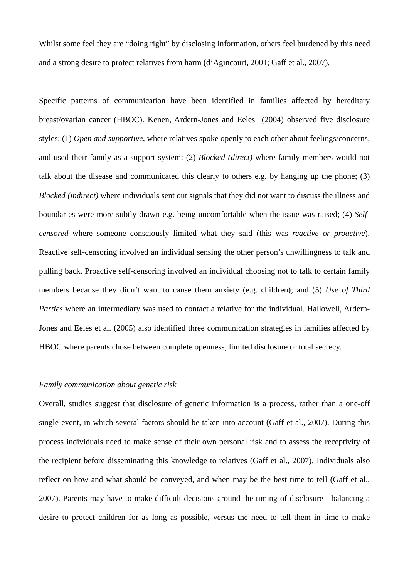Whilst some feel they are "doing right" by disclosing information, others feel burdened by this need and a strong desire to protect relatives from harm (d'Agincourt, 2001; Gaff et al., 2007).

Specific patterns of communication have been identified in families affected by hereditary breast/ovarian cancer (HBOC). Kenen, Ardern-Jones and Eeles (2004) observed five disclosure styles: (1) *Open and supportive*, where relatives spoke openly to each other about feelings/concerns, and used their family as a support system; (2) *Blocked (direct)* where family members would not talk about the disease and communicated this clearly to others e.g. by hanging up the phone; (3) *Blocked (indirect)* where individuals sent out signals that they did not want to discuss the illness and boundaries were more subtly drawn e.g. being uncomfortable when the issue was raised; (4) *Selfcensored* where someone consciously limited what they said (this was *reactive or proactive*). Reactive self-censoring involved an individual sensing the other person's unwillingness to talk and pulling back. Proactive self-censoring involved an individual choosing not to talk to certain family members because they didn't want to cause them anxiety (e.g. children); and (5) *Use of Third Parties* where an intermediary was used to contact a relative for the individual. Hallowell, Ardern-Jones and Eeles et al. (2005) also identified three communication strategies in families affected by HBOC where parents chose between complete openness, limited disclosure or total secrecy.

#### *Family communication about genetic risk*

Overall, studies suggest that disclosure of genetic information is a process, rather than a one-off single event, in which several factors should be taken into account (Gaff et al., 2007). During this process individuals need to make sense of their own personal risk and to assess the receptivity of the recipient before disseminating this knowledge to relatives (Gaff et al., 2007). Individuals also reflect on how and what should be conveyed, and when may be the best time to tell (Gaff et al., 2007). Parents may have to make difficult decisions around the timing of disclosure - balancing a desire to protect children for as long as possible, versus the need to tell them in time to make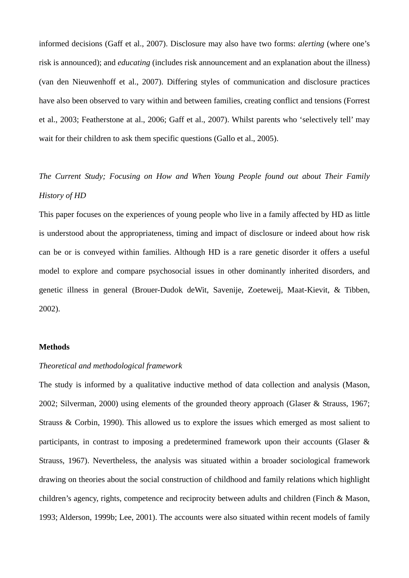informed decisions (Gaff et al., 2007). Disclosure may also have two forms: *alerting* (where one's risk is announced); and *educating* (includes risk announcement and an explanation about the illness) (van den Nieuwenhoff et al., 2007). Differing styles of communication and disclosure practices have also been observed to vary within and between families, creating conflict and tensions (Forrest et al., 2003; Featherstone at al., 2006; Gaff et al., 2007). Whilst parents who 'selectively tell' may wait for their children to ask them specific questions (Gallo et al., 2005).

*The Current Study; Focusing on How and When Young People found out about Their Family History of HD* 

This paper focuses on the experiences of young people who live in a family affected by HD as little is understood about the appropriateness, timing and impact of disclosure or indeed about how risk can be or is conveyed within families. Although HD is a rare genetic disorder it offers a useful model to explore and compare psychosocial issues in other dominantly inherited disorders, and genetic illness in general (Brouer-Dudok deWit, Savenije, Zoeteweij, Maat-Kievit, & Tibben, 2002).

#### **Methods**

## *Theoretical and methodological framework*

The study is informed by a qualitative inductive method of data collection and analysis (Mason, 2002; Silverman, 2000) using elements of the grounded theory approach (Glaser & Strauss, 1967; Strauss & Corbin, 1990). This allowed us to explore the issues which emerged as most salient to participants, in contrast to imposing a predetermined framework upon their accounts (Glaser & Strauss, 1967). Nevertheless, the analysis was situated within a broader sociological framework drawing on theories about the social construction of childhood and family relations which highlight children's agency, rights, competence and reciprocity between adults and children (Finch & Mason, 1993; Alderson, 1999b; Lee, 2001). The accounts were also situated within recent models of family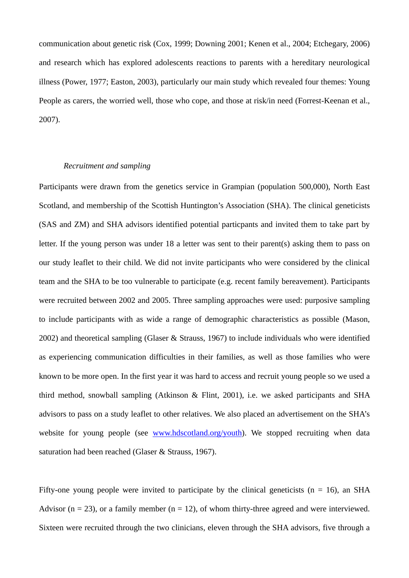communication about genetic risk (Cox, 1999; Downing 2001; Kenen et al., 2004; Etchegary, 2006) and research which has explored adolescents reactions to parents with a hereditary neurological illness (Power, 1977; Easton, 2003), particularly our main study which revealed four themes: Young People as carers, the worried well, those who cope, and those at risk/in need (Forrest-Keenan et al., 2007).

## *Recruitment and sampling*

Participants were drawn from the genetics service in Grampian (population 500,000), North East Scotland, and membership of the Scottish Huntington's Association (SHA). The clinical geneticists (SAS and ZM) and SHA advisors identified potential particpants and invited them to take part by letter. If the young person was under 18 a letter was sent to their parent(s) asking them to pass on our study leaflet to their child. We did not invite participants who were considered by the clinical team and the SHA to be too vulnerable to participate (e.g. recent family bereavement). Participants were recruited between 2002 and 2005. Three sampling approaches were used: purposive sampling to include participants with as wide a range of demographic characteristics as possible (Mason, 2002) and theoretical sampling (Glaser & Strauss, 1967) to include individuals who were identified as experiencing communication difficulties in their families, as well as those families who were known to be more open. In the first year it was hard to access and recruit young people so we used a third method, snowball sampling (Atkinson & Flint, 2001), i.e. we asked participants and SHA advisors to pass on a study leaflet to other relatives. We also placed an advertisement on the SHA's website for young people (see [www.hdscotland.org/youth](http://www.hdscotland.org/youth)). We stopped recruiting when data saturation had been reached (Glaser & Strauss, 1967).

Fifty-one young people were invited to participate by the clinical geneticists ( $n = 16$ ), an SHA Advisor ( $n = 23$ ), or a family member ( $n = 12$ ), of whom thirty-three agreed and were interviewed. Sixteen were recruited through the two clinicians, eleven through the SHA advisors, five through a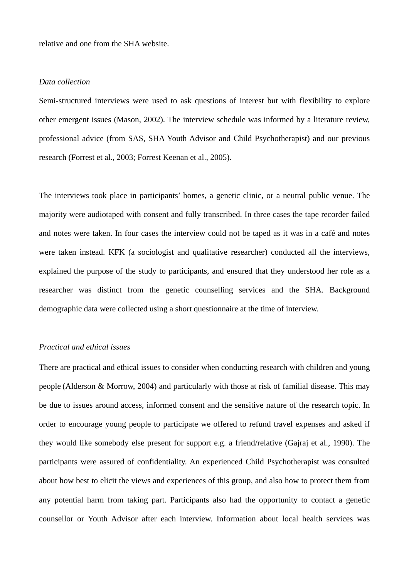relative and one from the SHA website.

## *Data collection*

Semi-structured interviews were used to ask questions of interest but with flexibility to explore other emergent issues (Mason, 2002). The interview schedule was informed by a literature review, professional advice (from SAS, SHA Youth Advisor and Child Psychotherapist) and our previous research (Forrest et al., 2003; Forrest Keenan et al., 2005).

The interviews took place in participants' homes, a genetic clinic, or a neutral public venue. The majority were audiotaped with consent and fully transcribed. In three cases the tape recorder failed and notes were taken. In four cases the interview could not be taped as it was in a café and notes were taken instead. KFK (a sociologist and qualitative researcher) conducted all the interviews, explained the purpose of the study to participants, and ensured that they understood her role as a researcher was distinct from the genetic counselling services and the SHA. Background demographic data were collected using a short questionnaire at the time of interview.

#### *Practical and ethical issues*

There are practical and ethical issues to consider when conducting research with children and young people (Alderson & Morrow, 2004) and particularly with those at risk of familial disease. This may be due to issues around access, informed consent and the sensitive nature of the research topic. In order to encourage young people to participate we offered to refund travel expenses and asked if they would like somebody else present for support e.g. a friend/relative (Gajraj et al., 1990). The participants were assured of confidentiality. An experienced Child Psychotherapist was consulted about how best to elicit the views and experiences of this group, and also how to protect them from any potential harm from taking part. Participants also had the opportunity to contact a genetic counsellor or Youth Advisor after each interview. Information about local health services was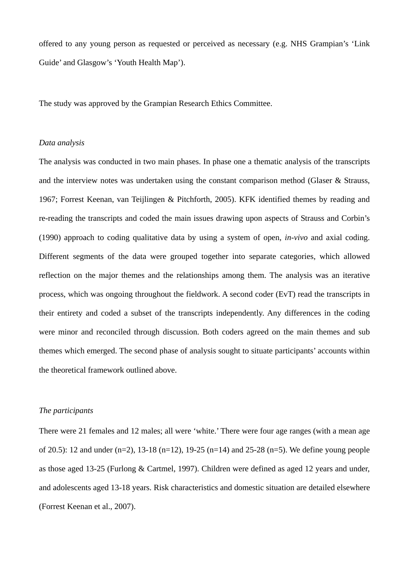offered to any young person as requested or perceived as necessary (e.g. NHS Grampian's 'Link Guide' and Glasgow's 'Youth Health Map').

The study was approved by the Grampian Research Ethics Committee.

## *Data analysis*

The analysis was conducted in two main phases. In phase one a thematic analysis of the transcripts and the interview notes was undertaken using the constant comparison method (Glaser  $\&$  Strauss, 1967; Forrest Keenan, van Teijlingen & Pitchforth, 2005). KFK identified themes by reading and re-reading the transcripts and coded the main issues drawing upon aspects of Strauss and Corbin's (1990) approach to coding qualitative data by using a system of open, *in-vivo* and axial coding. Different segments of the data were grouped together into separate categories, which allowed reflection on the major themes and the relationships among them. The analysis was an iterative process, which was ongoing throughout the fieldwork. A second coder (EvT) read the transcripts in their entirety and coded a subset of the transcripts independently. Any differences in the coding were minor and reconciled through discussion. Both coders agreed on the main themes and sub themes which emerged. The second phase of analysis sought to situate participants' accounts within the theoretical framework outlined above.

## *The participants*

There were 21 females and 12 males; all were 'white.' There were four age ranges (with a mean age of 20.5): 12 and under  $(n=2)$ , 13-18  $(n=12)$ , 19-25  $(n=14)$  and 25-28  $(n=5)$ . We define young people as those aged 13-25 (Furlong & Cartmel, 1997). Children were defined as aged 12 years and under, and adolescents aged 13-18 years. Risk characteristics and domestic situation are detailed elsewhere (Forrest Keenan et al., 2007).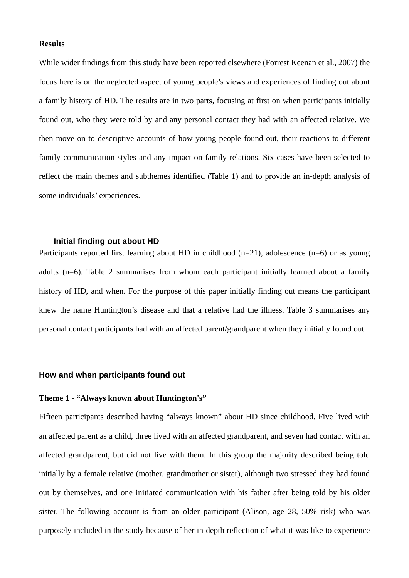#### **Results**

While wider findings from this study have been reported elsewhere (Forrest Keenan et al., 2007) the focus here is on the neglected aspect of young people's views and experiences of finding out about a family history of HD. The results are in two parts, focusing at first on when participants initially found out, who they were told by and any personal contact they had with an affected relative. We then move on to descriptive accounts of how young people found out, their reactions to different family communication styles and any impact on family relations. Six cases have been selected to reflect the main themes and subthemes identified (Table 1) and to provide an in-depth analysis of some individuals' experiences.

## **Initial finding out about HD**

Participants reported first learning about HD in childhood  $(n=21)$ , adolescence  $(n=6)$  or as young adults (n=6). Table 2 summarises from whom each participant initially learned about a family history of HD, and when. For the purpose of this paper initially finding out means the participant knew the name Huntington's disease and that a relative had the illness. Table 3 summarises any personal contact participants had with an affected parent/grandparent when they initially found out.

## **How and when participants found out**

## **Theme 1 - "Always known about Huntington's"**

Fifteen participants described having "always known" about HD since childhood. Five lived with an affected parent as a child, three lived with an affected grandparent, and seven had contact with an affected grandparent, but did not live with them. In this group the majority described being told initially by a female relative (mother, grandmother or sister), although two stressed they had found out by themselves, and one initiated communication with his father after being told by his older sister. The following account is from an older participant (Alison, age 28, 50% risk) who was purposely included in the study because of her in-depth reflection of what it was like to experience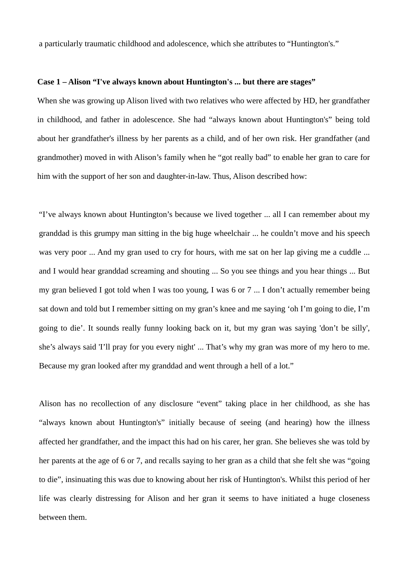a particularly traumatic childhood and adolescence, which she attributes to "Huntington's."

#### **Case 1 – Alison "I've always known about Huntington's ... but there are stages"**

 When she was growing up Alison lived with two relatives who were affected by HD, her grandfather in childhood, and father in adolescence. She had "always known about Huntington's" being told about her grandfather's illness by her parents as a child, and of her own risk. Her grandfather (and grandmother) moved in with Alison's family when he "got really bad" to enable her gran to care for him with the support of her son and daughter-in-law. Thus, Alison described how:

"I've always known about Huntington's because we lived together ... all I can remember about my granddad is this grumpy man sitting in the big huge wheelchair ... he couldn't move and his speech was very poor ... And my gran used to cry for hours, with me sat on her lap giving me a cuddle ... and I would hear granddad screaming and shouting ... So you see things and you hear things ... But my gran believed I got told when I was too young, I was 6 or 7 ... I don't actually remember being sat down and told but I remember sitting on my gran's knee and me saying 'oh I'm going to die, I'm going to die'. It sounds really funny looking back on it, but my gran was saying 'don't be silly', she's always said 'I'll pray for you every night' ... That's why my gran was more of my hero to me. Because my gran looked after my granddad and went through a hell of a lot."

Alison has no recollection of any disclosure "event" taking place in her childhood, as she has "always known about Huntington's" initially because of seeing (and hearing) how the illness affected her grandfather, and the impact this had on his carer, her gran. She believes she was told by her parents at the age of 6 or 7, and recalls saying to her gran as a child that she felt she was "going to die", insinuating this was due to knowing about her risk of Huntington's. Whilst this period of her life was clearly distressing for Alison and her gran it seems to have initiated a huge closeness between them.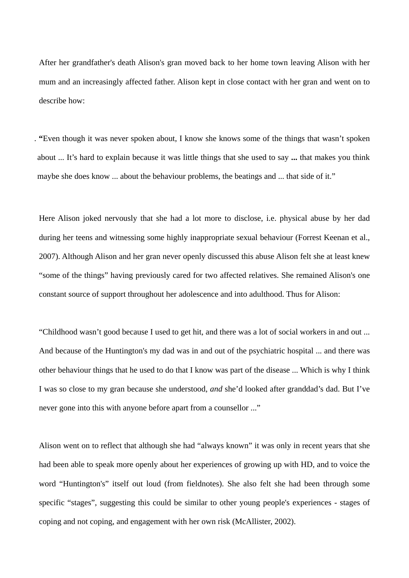After her grandfather's death Alison's gran moved back to her home town leaving Alison with her mum and an increasingly affected father. Alison kept in close contact with her gran and went on to describe how:

. **"**Even though it was never spoken about, I know she knows some of the things that wasn't spoken about ... It's hard to explain because it was little things that she used to say **...** that makes you think maybe she does know ... about the behaviour problems, the beatings and ... that side of it."

Here Alison joked nervously that she had a lot more to disclose, i.e. physical abuse by her dad during her teens and witnessing some highly inappropriate sexual behaviour (Forrest Keenan et al., 2007). Although Alison and her gran never openly discussed this abuse Alison felt she at least knew "some of the things" having previously cared for two affected relatives. She remained Alison's one constant source of support throughout her adolescence and into adulthood. Thus for Alison:

"Childhood wasn't good because I used to get hit, and there was a lot of social workers in and out ... And because of the Huntington's my dad was in and out of the psychiatric hospital ... and there was other behaviour things that he used to do that I know was part of the disease ... Which is why I think I was so close to my gran because she understood, *and* she'd looked after granddad's dad. But I've never gone into this with anyone before apart from a counsellor ..."

Alison went on to reflect that although she had "always known" it was only in recent years that she had been able to speak more openly about her experiences of growing up with HD, and to voice the word "Huntington's" itself out loud (from fieldnotes). She also felt she had been through some specific "stages", suggesting this could be similar to other young people's experiences - stages of coping and not coping, and engagement with her own risk (McAllister, 2002).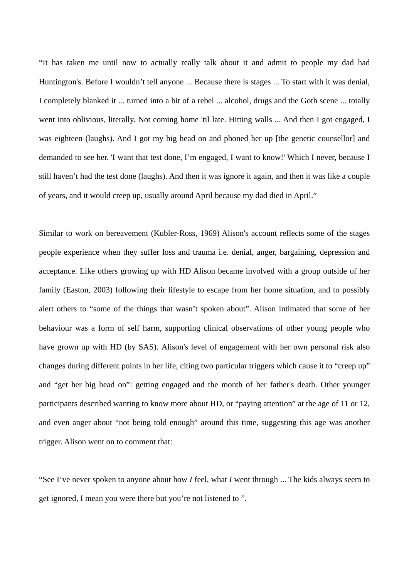"It has taken me until now to actually really talk about it and admit to people my dad had Huntington's. Before I wouldn't tell anyone ... Because there is stages ... To start with it was denial, I completely blanked it ... turned into a bit of a rebel ... alcohol, drugs and the Goth scene ... totally went into oblivious, literally. Not coming home 'til late. Hitting walls ... And then I got engaged, I was eighteen (laughs). And I got my big head on and phoned her up [the genetic counsellor] and demanded to see her. 'I want that test done, I'm engaged, I want to know!' Which I never, because I still haven't had the test done (laughs). And then it was ignore it again, and then it was like a couple of years, and it would creep up, usually around April because my dad died in April."

Similar to work on bereavement (Kubler-Ross, 1969) Alison's account reflects some of the stages people experience when they suffer loss and trauma i.e. denial, anger, bargaining, depression and acceptance. Like others growing up with HD Alison became involved with a group outside of her family (Easton, 2003) following their lifestyle to escape from her home situation, and to possibly alert others to "some of the things that wasn't spoken about". Alison intimated that some of her behaviour was a form of self harm, supporting clinical observations of other young people who have grown up with HD (by SAS). Alison's level of engagement with her own personal risk also changes during different points in her life, citing two particular triggers which cause it to "creep up" and "get her big head on": getting engaged and the month of her father's death. Other younger participants described wanting to know more about HD, or "paying attention" at the age of 11 or 12, and even anger about "not being told enough" around this time, suggesting this age was another trigger. Alison went on to comment that:

"See I've never spoken to anyone about how *I* feel, what *I* went through ... The kids always seem to get ignored, I mean you were there but you're not listened to ".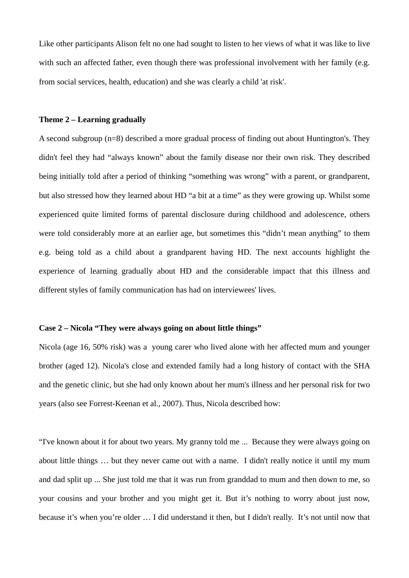Like other participants Alison felt no one had sought to listen to her views of what it was like to live with such an affected father, even though there was professional involvement with her family (e.g. from social services, health, education) and she was clearly a child 'at risk'.

## **Theme 2 – Learning gradually**

A second subgroup (n=8) described a more gradual process of finding out about Huntington's. They didn't feel they had "always known" about the family disease nor their own risk. They described being initially told after a period of thinking "something was wrong" with a parent, or grandparent, but also stressed how they learned about HD "a bit at a time" as they were growing up. Whilst some experienced quite limited forms of parental disclosure during childhood and adolescence, others were told considerably more at an earlier age, but sometimes this "didn't mean anything" to them e.g. being told as a child about a grandparent having HD. The next accounts highlight the experience of learning gradually about HD and the considerable impact that this illness and different styles of family communication has had on interviewees' lives.

## **Case 2 – Nicola "They were always going on about little things"**

Nicola (age 16, 50% risk) was a young carer who lived alone with her affected mum and younger brother (aged 12). Nicola's close and extended family had a long history of contact with the SHA and the genetic clinic, but she had only known about her mum's illness and her personal risk for two years (also see Forrest-Keenan et al., 2007). Thus, Nicola described how:

"I've known about it for about two years. My granny told me ... Because they were always going on about little things … but they never came out with a name. I didn't really notice it until my mum and dad split up ... She just told me that it was run from granddad to mum and then down to me, so your cousins and your brother and you might get it. But it's nothing to worry about just now, because it's when you're older … I did understand it then, but I didn't really. It's not until now that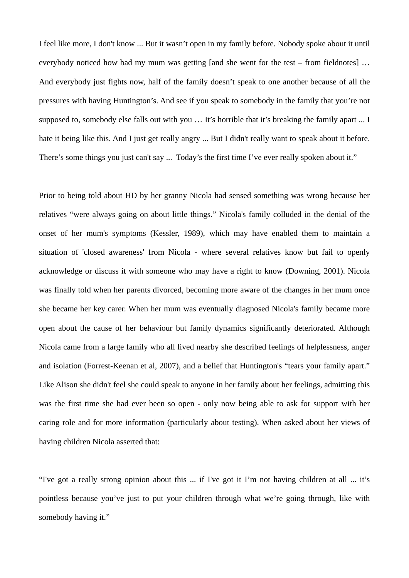I feel like more, I don't know ... But it wasn't open in my family before. Nobody spoke about it until everybody noticed how bad my mum was getting [and she went for the test – from fieldnotes] … And everybody just fights now, half of the family doesn't speak to one another because of all the pressures with having Huntington's. And see if you speak to somebody in the family that you're not supposed to, somebody else falls out with you … It's horrible that it's breaking the family apart ... I hate it being like this. And I just get really angry ... But I didn't really want to speak about it before. There's some things you just can't say ... Today's the first time I've ever really spoken about it."

Prior to being told about HD by her granny Nicola had sensed something was wrong because her relatives "were always going on about little things." Nicola's family colluded in the denial of the onset of her mum's symptoms (Kessler, 1989), which may have enabled them to maintain a situation of 'closed awareness' from Nicola - where several relatives know but fail to openly acknowledge or discuss it with someone who may have a right to know (Downing, 2001). Nicola was finally told when her parents divorced, becoming more aware of the changes in her mum once she became her key carer. When her mum was eventually diagnosed Nicola's family became more open about the cause of her behaviour but family dynamics significantly deteriorated. Although Nicola came from a large family who all lived nearby she described feelings of helplessness, anger and isolation (Forrest-Keenan et al, 2007), and a belief that Huntington's "tears your family apart." Like Alison she didn't feel she could speak to anyone in her family about her feelings, admitting this was the first time she had ever been so open - only now being able to ask for support with her caring role and for more information (particularly about testing). When asked about her views of having children Nicola asserted that:

"I've got a really strong opinion about this ... if I've got it I'm not having children at all ... it's pointless because you've just to put your children through what we're going through, like with somebody having it."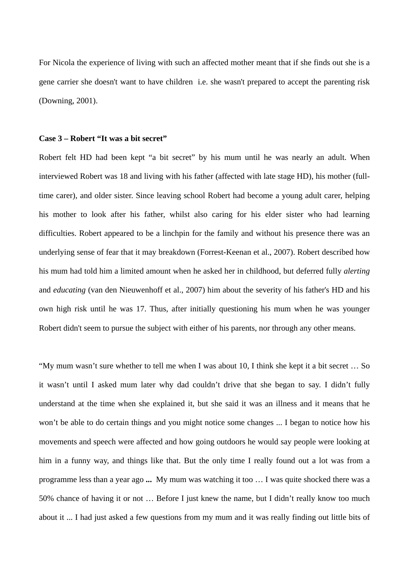For Nicola the experience of living with such an affected mother meant that if she finds out she is a gene carrier she doesn't want to have children i.e. she wasn't prepared to accept the parenting risk (Downing, 2001).

#### **Case 3 – Robert "It was a bit secret"**

Robert felt HD had been kept "a bit secret" by his mum until he was nearly an adult. When interviewed Robert was 18 and living with his father (affected with late stage HD), his mother (fulltime carer), and older sister. Since leaving school Robert had become a young adult carer, helping his mother to look after his father, whilst also caring for his elder sister who had learning difficulties. Robert appeared to be a linchpin for the family and without his presence there was an underlying sense of fear that it may breakdown (Forrest-Keenan et al., 2007). Robert described how his mum had told him a limited amount when he asked her in childhood, but deferred fully *alerting* and *educating* (van den Nieuwenhoff et al., 2007) him about the severity of his father's HD and his own high risk until he was 17. Thus, after initially questioning his mum when he was younger Robert didn't seem to pursue the subject with either of his parents, nor through any other means.

"My mum wasn't sure whether to tell me when I was about 10, I think she kept it a bit secret … So it wasn't until I asked mum later why dad couldn't drive that she began to say. I didn't fully understand at the time when she explained it, but she said it was an illness and it means that he won't be able to do certain things and you might notice some changes ... I began to notice how his movements and speech were affected and how going outdoors he would say people were looking at him in a funny way, and things like that. But the only time I really found out a lot was from a programme less than a year ago **...** My mum was watching it too … I was quite shocked there was a 50% chance of having it or not … Before I just knew the name, but I didn't really know too much about it ... I had just asked a few questions from my mum and it was really finding out little bits of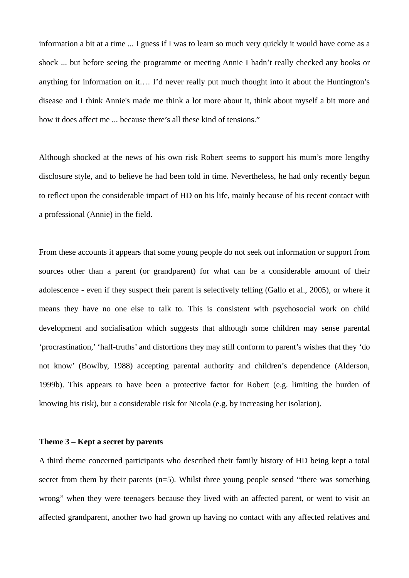information a bit at a time ... I guess if I was to learn so much very quickly it would have come as a shock ... but before seeing the programme or meeting Annie I hadn't really checked any books or anything for information on it.… I'd never really put much thought into it about the Huntington's disease and I think Annie's made me think a lot more about it, think about myself a bit more and how it does affect me ... because there's all these kind of tensions."

Although shocked at the news of his own risk Robert seems to support his mum's more lengthy disclosure style, and to believe he had been told in time. Nevertheless, he had only recently begun to reflect upon the considerable impact of HD on his life, mainly because of his recent contact with a professional (Annie) in the field.

From these accounts it appears that some young people do not seek out information or support from sources other than a parent (or grandparent) for what can be a considerable amount of their adolescence - even if they suspect their parent is selectively telling (Gallo et al., 2005), or where it means they have no one else to talk to. This is consistent with psychosocial work on child development and socialisation which suggests that although some children may sense parental 'procrastination,' 'half-truths' and distortions they may still conform to parent's wishes that they 'do not know' (Bowlby, 1988) accepting parental authority and children's dependence (Alderson, 1999b). This appears to have been a protective factor for Robert (e.g. limiting the burden of knowing his risk), but a considerable risk for Nicola (e.g. by increasing her isolation).

#### **Theme 3 – Kept a secret by parents**

A third theme concerned participants who described their family history of HD being kept a total secret from them by their parents  $(n=5)$ . Whilst three young people sensed "there was something wrong" when they were teenagers because they lived with an affected parent, or went to visit an affected grandparent, another two had grown up having no contact with any affected relatives and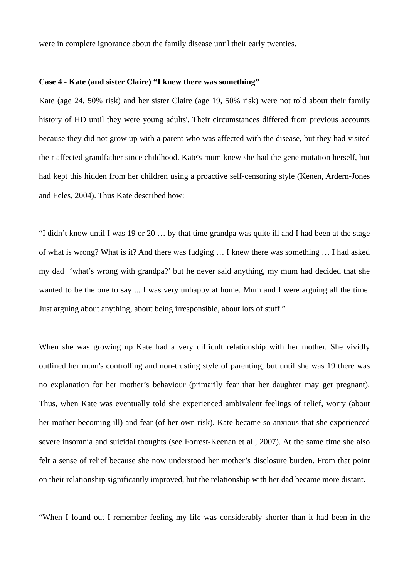were in complete ignorance about the family disease until their early twenties.

#### **Case 4 - Kate (and sister Claire) "I knew there was something"**

Kate (age 24, 50% risk) and her sister Claire (age 19, 50% risk) were not told about their family history of HD until they were young adults'. Their circumstances differed from previous accounts because they did not grow up with a parent who was affected with the disease, but they had visited their affected grandfather since childhood. Kate's mum knew she had the gene mutation herself, but had kept this hidden from her children using a proactive self-censoring style (Kenen, Ardern-Jones and Eeles, 2004). Thus Kate described how:

"I didn't know until I was 19 or 20 … by that time grandpa was quite ill and I had been at the stage of what is wrong? What is it? And there was fudging … I knew there was something … I had asked my dad 'what's wrong with grandpa?' but he never said anything, my mum had decided that she wanted to be the one to say ... I was very unhappy at home. Mum and I were arguing all the time. Just arguing about anything, about being irresponsible, about lots of stuff."

When she was growing up Kate had a very difficult relationship with her mother. She vividly outlined her mum's controlling and non-trusting style of parenting, but until she was 19 there was no explanation for her mother's behaviour (primarily fear that her daughter may get pregnant). Thus, when Kate was eventually told she experienced ambivalent feelings of relief, worry (about her mother becoming ill) and fear (of her own risk). Kate became so anxious that she experienced severe insomnia and suicidal thoughts (see Forrest-Keenan et al., 2007). At the same time she also felt a sense of relief because she now understood her mother's disclosure burden. From that point on their relationship significantly improved, but the relationship with her dad became more distant.

"When I found out I remember feeling my life was considerably shorter than it had been in the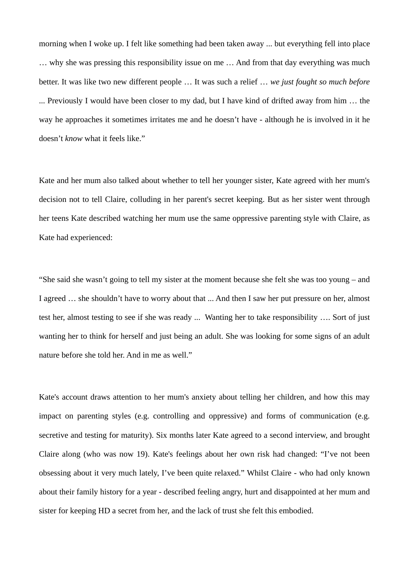morning when I woke up. I felt like something had been taken away ... but everything fell into place … why she was pressing this responsibility issue on me … And from that day everything was much better. It was like two new different people … It was such a relief … *we just fought so much before* ... Previously I would have been closer to my dad, but I have kind of drifted away from him … the way he approaches it sometimes irritates me and he doesn't have - although he is involved in it he doesn't *know* what it feels like."

Kate and her mum also talked about whether to tell her younger sister, Kate agreed with her mum's decision not to tell Claire, colluding in her parent's secret keeping. But as her sister went through her teens Kate described watching her mum use the same oppressive parenting style with Claire, as Kate had experienced:

"She said she wasn't going to tell my sister at the moment because she felt she was too young – and I agreed … she shouldn't have to worry about that ... And then I saw her put pressure on her, almost test her, almost testing to see if she was ready ... Wanting her to take responsibility …. Sort of just wanting her to think for herself and just being an adult. She was looking for some signs of an adult nature before she told her. And in me as well."

Kate's account draws attention to her mum's anxiety about telling her children, and how this may impact on parenting styles (e.g. controlling and oppressive) and forms of communication (e.g. secretive and testing for maturity). Six months later Kate agreed to a second interview, and brought Claire along (who was now 19). Kate's feelings about her own risk had changed: "I've not been obsessing about it very much lately, I've been quite relaxed." Whilst Claire - who had only known about their family history for a year - described feeling angry, hurt and disappointed at her mum and sister for keeping HD a secret from her, and the lack of trust she felt this embodied.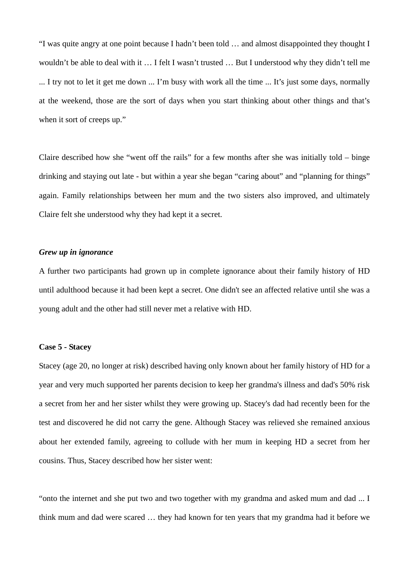"I was quite angry at one point because I hadn't been told … and almost disappointed they thought I wouldn't be able to deal with it … I felt I wasn't trusted … But I understood why they didn't tell me ... I try not to let it get me down ... I'm busy with work all the time ... It's just some days, normally at the weekend, those are the sort of days when you start thinking about other things and that's when it sort of creeps up."

Claire described how she "went off the rails" for a few months after she was initially told – binge drinking and staying out late - but within a year she began "caring about" and "planning for things" again. Family relationships between her mum and the two sisters also improved, and ultimately Claire felt she understood why they had kept it a secret.

## *Grew up in ignorance*

A further two participants had grown up in complete ignorance about their family history of HD until adulthood because it had been kept a secret. One didn't see an affected relative until she was a young adult and the other had still never met a relative with HD.

#### **Case 5 - Stacey**

Stacey (age 20, no longer at risk) described having only known about her family history of HD for a year and very much supported her parents decision to keep her grandma's illness and dad's 50% risk a secret from her and her sister whilst they were growing up. Stacey's dad had recently been for the test and discovered he did not carry the gene. Although Stacey was relieved she remained anxious about her extended family, agreeing to collude with her mum in keeping HD a secret from her cousins. Thus, Stacey described how her sister went:

"onto the internet and she put two and two together with my grandma and asked mum and dad ... I think mum and dad were scared … they had known for ten years that my grandma had it before we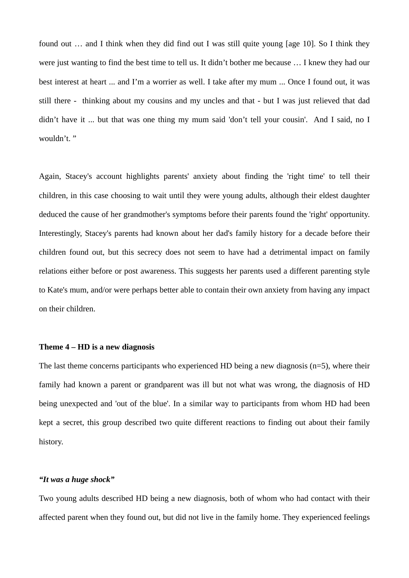found out ... and I think when they did find out I was still quite young [age 10]. So I think they were just wanting to find the best time to tell us. It didn't bother me because … I knew they had our best interest at heart ... and I'm a worrier as well. I take after my mum ... Once I found out, it was still there - thinking about my cousins and my uncles and that - but I was just relieved that dad didn't have it ... but that was one thing my mum said 'don't tell your cousin'. And I said, no I wouldn't."

Again, Stacey's account highlights parents' anxiety about finding the 'right time' to tell their children, in this case choosing to wait until they were young adults, although their eldest daughter deduced the cause of her grandmother's symptoms before their parents found the 'right' opportunity. Interestingly, Stacey's parents had known about her dad's family history for a decade before their children found out, but this secrecy does not seem to have had a detrimental impact on family relations either before or post awareness. This suggests her parents used a different parenting style to Kate's mum, and/or were perhaps better able to contain their own anxiety from having any impact on their children.

#### **Theme 4 – HD is a new diagnosis**

The last theme concerns participants who experienced HD being a new diagnosis  $(n=5)$ , where their family had known a parent or grandparent was ill but not what was wrong, the diagnosis of HD being unexpected and 'out of the blue'. In a similar way to participants from whom HD had been kept a secret, this group described two quite different reactions to finding out about their family history.

#### *"It was a huge shock"*

Two young adults described HD being a new diagnosis, both of whom who had contact with their affected parent when they found out, but did not live in the family home. They experienced feelings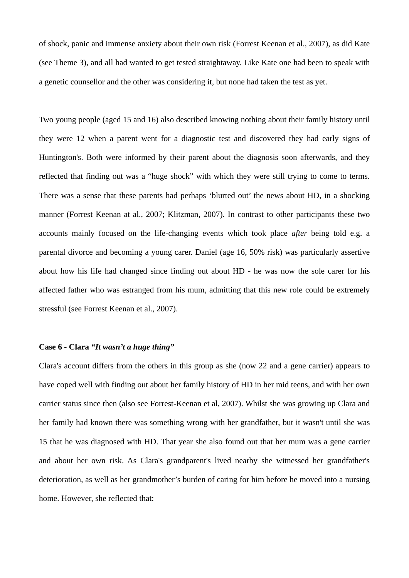of shock, panic and immense anxiety about their own risk (Forrest Keenan et al., 2007), as did Kate (see Theme 3), and all had wanted to get tested straightaway. Like Kate one had been to speak with a genetic counsellor and the other was considering it, but none had taken the test as yet.

Two young people (aged 15 and 16) also described knowing nothing about their family history until they were 12 when a parent went for a diagnostic test and discovered they had early signs of Huntington's. Both were informed by their parent about the diagnosis soon afterwards, and they reflected that finding out was a "huge shock" with which they were still trying to come to terms. There was a sense that these parents had perhaps 'blurted out' the news about HD, in a shocking manner (Forrest Keenan at al., 2007; Klitzman, 2007). In contrast to other participants these two accounts mainly focused on the life-changing events which took place *after* being told e.g. a parental divorce and becoming a young carer. Daniel (age 16, 50% risk) was particularly assertive about how his life had changed since finding out about HD - he was now the sole carer for his affected father who was estranged from his mum, admitting that this new role could be extremely stressful (see Forrest Keenan et al., 2007).

## **Case 6 - Clara** *"It wasn't a huge thing"*

Clara's account differs from the others in this group as she (now 22 and a gene carrier) appears to have coped well with finding out about her family history of HD in her mid teens, and with her own carrier status since then (also see Forrest-Keenan et al, 2007). Whilst she was growing up Clara and her family had known there was something wrong with her grandfather, but it wasn't until she was 15 that he was diagnosed with HD. That year she also found out that her mum was a gene carrier and about her own risk. As Clara's grandparent's lived nearby she witnessed her grandfather's deterioration, as well as her grandmother's burden of caring for him before he moved into a nursing home. However, she reflected that: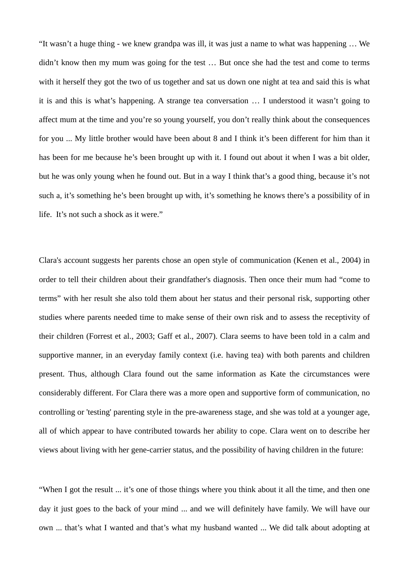"It wasn't a huge thing - we knew grandpa was ill, it was just a name to what was happening … We didn't know then my mum was going for the test ... But once she had the test and come to terms with it herself they got the two of us together and sat us down one night at tea and said this is what it is and this is what's happening. A strange tea conversation … I understood it wasn't going to affect mum at the time and you're so young yourself, you don't really think about the consequences for you ... My little brother would have been about 8 and I think it's been different for him than it has been for me because he's been brought up with it. I found out about it when I was a bit older, but he was only young when he found out. But in a way I think that's a good thing, because it's not such a, it's something he's been brought up with, it's something he knows there's a possibility of in life. It's not such a shock as it were."

Clara's account suggests her parents chose an open style of communication (Kenen et al., 2004) in order to tell their children about their grandfather's diagnosis. Then once their mum had "come to terms" with her result she also told them about her status and their personal risk, supporting other studies where parents needed time to make sense of their own risk and to assess the receptivity of their children (Forrest et al., 2003; Gaff et al., 2007). Clara seems to have been told in a calm and supportive manner, in an everyday family context (i.e. having tea) with both parents and children present. Thus, although Clara found out the same information as Kate the circumstances were considerably different. For Clara there was a more open and supportive form of communication, no controlling or 'testing' parenting style in the pre-awareness stage, and she was told at a younger age, all of which appear to have contributed towards her ability to cope. Clara went on to describe her views about living with her gene-carrier status, and the possibility of having children in the future:

"When I got the result ... it's one of those things where you think about it all the time, and then one day it just goes to the back of your mind ... and we will definitely have family. We will have our own ... that's what I wanted and that's what my husband wanted ... We did talk about adopting at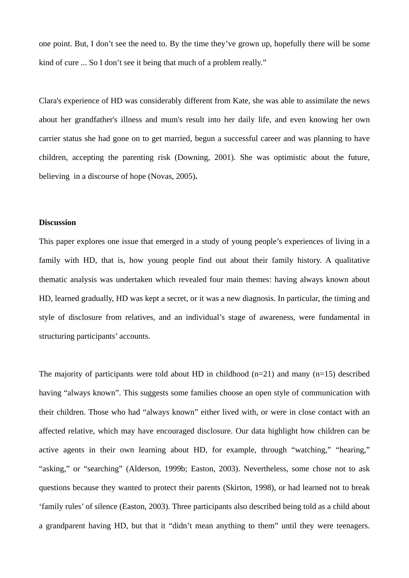one point. But, I don't see the need to. By the time they've grown up, hopefully there will be some kind of cure ... So I don't see it being that much of a problem really."

Clara's experience of HD was considerably different from Kate, she was able to assimilate the news about her grandfather's illness and mum's result into her daily life, and even knowing her own carrier status she had gone on to get married, begun a successful career and was planning to have children, accepting the parenting risk (Downing, 2001). She was optimistic about the future, believing in a discourse of hope (Novas, 2005)**.** 

## **Discussion**

This paper explores one issue that emerged in a study of young people's experiences of living in a family with HD, that is, how young people find out about their family history. A qualitative thematic analysis was undertaken which revealed four main themes: having always known about HD, learned gradually, HD was kept a secret, or it was a new diagnosis. In particular, the timing and style of disclosure from relatives, and an individual's stage of awareness, were fundamental in structuring participants' accounts.

The majority of participants were told about HD in childhood  $(n=21)$  and many  $(n=15)$  described having "always known". This suggests some families choose an open style of communication with their children. Those who had "always known" either lived with, or were in close contact with an affected relative, which may have encouraged disclosure. Our data highlight how children can be active agents in their own learning about HD, for example, through "watching," "hearing," "asking," or "searching" (Alderson, 1999b; Easton, 2003). Nevertheless, some chose not to ask questions because they wanted to protect their parents (Skirton, 1998), or had learned not to break 'family rules' of silence (Easton, 2003). Three participants also described being told as a child about a grandparent having HD, but that it "didn't mean anything to them" until they were teenagers.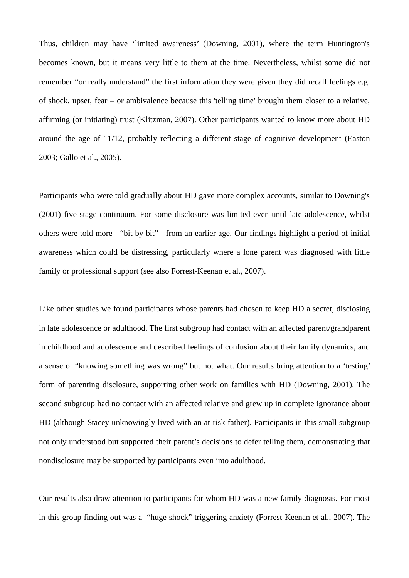Thus, children may have 'limited awareness' (Downing, 2001), where the term Huntington's becomes known, but it means very little to them at the time. Nevertheless, whilst some did not remember "or really understand" the first information they were given they did recall feelings e.g. of shock, upset, fear – or ambivalence because this 'telling time' brought them closer to a relative, affirming (or initiating) trust (Klitzman, 2007). Other participants wanted to know more about HD around the age of 11/12, probably reflecting a different stage of cognitive development (Easton 2003; Gallo et al., 2005).

Participants who were told gradually about HD gave more complex accounts, similar to Downing's (2001) five stage continuum. For some disclosure was limited even until late adolescence, whilst others were told more - "bit by bit" - from an earlier age. Our findings highlight a period of initial awareness which could be distressing, particularly where a lone parent was diagnosed with little family or professional support (see also Forrest-Keenan et al., 2007).

Like other studies we found participants whose parents had chosen to keep HD a secret, disclosing in late adolescence or adulthood. The first subgroup had contact with an affected parent/grandparent in childhood and adolescence and described feelings of confusion about their family dynamics, and a sense of "knowing something was wrong" but not what. Our results bring attention to a 'testing' form of parenting disclosure, supporting other work on families with HD (Downing, 2001). The second subgroup had no contact with an affected relative and grew up in complete ignorance about HD (although Stacey unknowingly lived with an at-risk father). Participants in this small subgroup not only understood but supported their parent's decisions to defer telling them, demonstrating that nondisclosure may be supported by participants even into adulthood.

Our results also draw attention to participants for whom HD was a new family diagnosis. For most in this group finding out was a "huge shock" triggering anxiety (Forrest-Keenan et al., 2007). The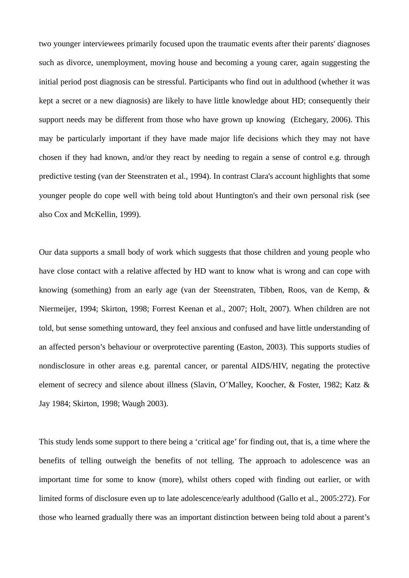two younger interviewees primarily focused upon the traumatic events after their parents' diagnoses such as divorce, unemployment, moving house and becoming a young carer, again suggesting the initial period post diagnosis can be stressful. Participants who find out in adulthood (whether it was kept a secret or a new diagnosis) are likely to have little knowledge about HD; consequently their support needs may be different from those who have grown up knowing (Etchegary, 2006). This may be particularly important if they have made major life decisions which they may not have chosen if they had known, and/or they react by needing to regain a sense of control e.g. through predictive testing (van der Steenstraten et al., 1994). In contrast Clara's account highlights that some younger people do cope well with being told about Huntington's and their own personal risk (see also Cox and McKellin, 1999).

Our data supports a small body of work which suggests that those children and young people who have close contact with a relative affected by HD want to know what is wrong and can cope with knowing (something) from an early age (van der Steenstraten, Tibben, Roos, van de Kemp, & Niermeijer, 1994; Skirton, 1998; Forrest Keenan et al., 2007; Holt, 2007). When children are not told, but sense something untoward, they feel anxious and confused and have little understanding of an affected person's behaviour or overprotective parenting (Easton, 2003). This supports studies of nondisclosure in other areas e.g. parental cancer, or parental AIDS/HIV, negating the protective element of secrecy and silence about illness (Slavin, O'Malley, Koocher, & Foster, 1982; Katz & Jay 1984; Skirton, 1998; Waugh 2003).

This study lends some support to there being a 'critical age' for finding out, that is, a time where the benefits of telling outweigh the benefits of not telling. The approach to adolescence was an important time for some to know (more), whilst others coped with finding out earlier, or with limited forms of disclosure even up to late adolescence/early adulthood (Gallo et al., 2005:272). For those who learned gradually there was an important distinction between being told about a parent's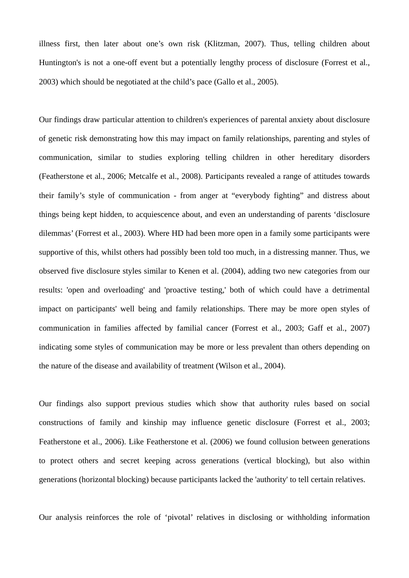illness first, then later about one's own risk (Klitzman, 2007). Thus, telling children about Huntington's is not a one-off event but a potentially lengthy process of disclosure (Forrest et al., 2003) which should be negotiated at the child's pace (Gallo et al., 2005).

Our findings draw particular attention to children's experiences of parental anxiety about disclosure of genetic risk demonstrating how this may impact on family relationships, parenting and styles of communication, similar to studies exploring telling children in other hereditary disorders (Featherstone et al., 2006; Metcalfe et al., 2008). Participants revealed a range of attitudes towards their family's style of communication - from anger at "everybody fighting" and distress about things being kept hidden, to acquiescence about, and even an understanding of parents 'disclosure dilemmas' (Forrest et al., 2003). Where HD had been more open in a family some participants were supportive of this, whilst others had possibly been told too much, in a distressing manner. Thus, we observed five disclosure styles similar to Kenen et al. (2004), adding two new categories from our results: 'open and overloading' and 'proactive testing,' both of which could have a detrimental impact on participants' well being and family relationships. There may be more open styles of communication in families affected by familial cancer (Forrest et al., 2003; Gaff et al., 2007) indicating some styles of communication may be more or less prevalent than others depending on the nature of the disease and availability of treatment (Wilson et al., 2004).

Our findings also support previous studies which show that authority rules based on social constructions of family and kinship may influence genetic disclosure (Forrest et al., 2003; Featherstone et al., 2006). Like Featherstone et al. (2006) we found collusion between generations to protect others and secret keeping across generations (vertical blocking), but also within generations (horizontal blocking) because participants lacked the 'authority' to tell certain relatives.

Our analysis reinforces the role of 'pivotal' relatives in disclosing or withholding information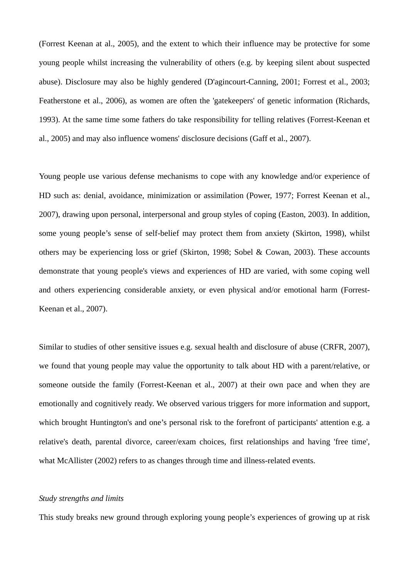(Forrest Keenan at al., 2005), and the extent to which their influence may be protective for some young people whilst increasing the vulnerability of others (e.g. by keeping silent about suspected abuse). Disclosure may also be highly gendered (D'agincourt-Canning, 2001; Forrest et al., 2003; Featherstone et al., 2006), as women are often the 'gatekeepers' of genetic information (Richards, 1993). At the same time some fathers do take responsibility for telling relatives (Forrest-Keenan et al., 2005) and may also influence womens' disclosure decisions (Gaff et al., 2007).

Young people use various defense mechanisms to cope with any knowledge and/or experience of HD such as: denial, avoidance, minimization or assimilation (Power, 1977; Forrest Keenan et al., 2007), drawing upon personal, interpersonal and group styles of coping (Easton, 2003). In addition, some young people's sense of self-belief may protect them from anxiety (Skirton, 1998), whilst others may be experiencing loss or grief (Skirton, 1998; Sobel & Cowan, 2003). These accounts demonstrate that young people's views and experiences of HD are varied, with some coping well and others experiencing considerable anxiety, or even physical and/or emotional harm (Forrest-Keenan et al., 2007).

Similar to studies of other sensitive issues e.g. sexual health and disclosure of abuse (CRFR, 2007), we found that young people may value the opportunity to talk about HD with a parent/relative, or someone outside the family (Forrest-Keenan et al., 2007) at their own pace and when they are emotionally and cognitively ready. We observed various triggers for more information and support, which brought Huntington's and one's personal risk to the forefront of participants' attention e.g. a relative's death, parental divorce, career/exam choices, first relationships and having 'free time', what McAllister (2002) refers to as changes through time and illness-related events.

#### *Study strengths and limits*

This study breaks new ground through exploring young people's experiences of growing up at risk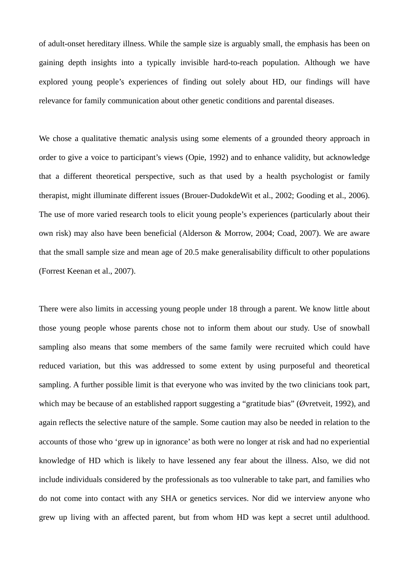of adult-onset hereditary illness. While the sample size is arguably small, the emphasis has been on gaining depth insights into a typically invisible hard-to-reach population. Although we have explored young people's experiences of finding out solely about HD, our findings will have relevance for family communication about other genetic conditions and parental diseases.

We chose a qualitative thematic analysis using some elements of a grounded theory approach in order to give a voice to participant's views (Opie, 1992) and to enhance validity, but acknowledge that a different theoretical perspective, such as that used by a health psychologist or family therapist, might illuminate different issues (Brouer-DudokdeWit et al., 2002; Gooding et al., 2006). The use of more varied research tools to elicit young people's experiences (particularly about their own risk) may also have been beneficial (Alderson & Morrow, 2004; Coad, 2007). We are aware that the small sample size and mean age of 20.5 make generalisability difficult to other populations (Forrest Keenan et al., 2007).

There were also limits in accessing young people under 18 through a parent. We know little about those young people whose parents chose not to inform them about our study. Use of snowball sampling also means that some members of the same family were recruited which could have reduced variation, but this was addressed to some extent by using purposeful and theoretical sampling. A further possible limit is that everyone who was invited by the two clinicians took part, which may be because of an established rapport suggesting a "gratitude bias" (Øvretveit, 1992), and again reflects the selective nature of the sample. Some caution may also be needed in relation to the accounts of those who 'grew up in ignorance' as both were no longer at risk and had no experiential knowledge of HD which is likely to have lessened any fear about the illness. Also, we did not include individuals considered by the professionals as too vulnerable to take part, and families who do not come into contact with any SHA or genetics services. Nor did we interview anyone who grew up living with an affected parent, but from whom HD was kept a secret until adulthood.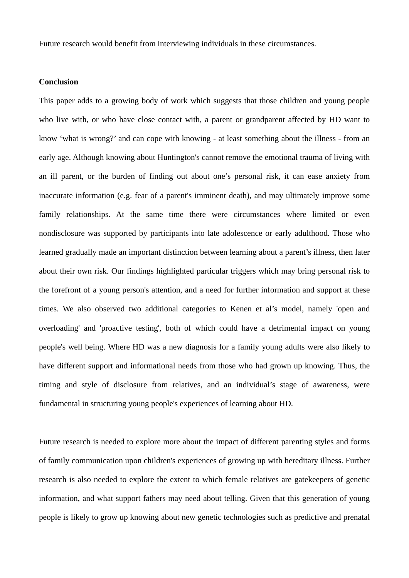Future research would benefit from interviewing individuals in these circumstances.

## **Conclusion**

This paper adds to a growing body of work which suggests that those children and young people who live with, or who have close contact with, a parent or grandparent affected by HD want to know 'what is wrong?' and can cope with knowing - at least something about the illness - from an early age. Although knowing about Huntington's cannot remove the emotional trauma of living with an ill parent, or the burden of finding out about one's personal risk, it can ease anxiety from inaccurate information (e.g. fear of a parent's imminent death), and may ultimately improve some family relationships. At the same time there were circumstances where limited or even nondisclosure was supported by participants into late adolescence or early adulthood. Those who learned gradually made an important distinction between learning about a parent's illness, then later about their own risk. Our findings highlighted particular triggers which may bring personal risk to the forefront of a young person's attention, and a need for further information and support at these times. We also observed two additional categories to Kenen et al's model, namely 'open and overloading' and 'proactive testing', both of which could have a detrimental impact on young people's well being. Where HD was a new diagnosis for a family young adults were also likely to have different support and informational needs from those who had grown up knowing. Thus, the timing and style of disclosure from relatives, and an individual's stage of awareness, were fundamental in structuring young people's experiences of learning about HD.

Future research is needed to explore more about the impact of different parenting styles and forms of family communication upon children's experiences of growing up with hereditary illness. Further research is also needed to explore the extent to which female relatives are gatekeepers of genetic information, and what support fathers may need about telling. Given that this generation of young people is likely to grow up knowing about new genetic technologies such as predictive and prenatal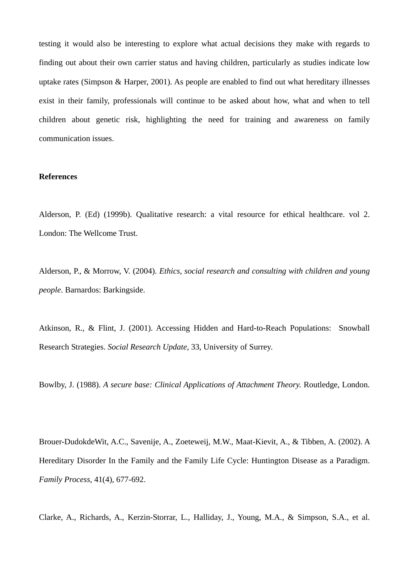testing it would also be interesting to explore what actual decisions they make with regards to finding out about their own carrier status and having children, particularly as studies indicate low uptake rates (Simpson & Harper, 2001). As people are enabled to find out what hereditary illnesses exist in their family, professionals will continue to be asked about how, what and when to tell children about genetic risk, highlighting the need for training and awareness on family communication issues.

## **References**

Alderson, P. (Ed) (1999b). Qualitative research: a vital resource for ethical healthcare. vol 2. London: The Wellcome Trust.

Alderson, P., & Morrow, V. (2004). *Ethics, social research and consulting with children and young people*. Barnardos: Barkingside.

Atkinson, R., & Flint, J. (2001). Accessing Hidden and Hard-to-Reach Populations: Snowball Research Strategies. *Social Research Update*, 33, University of Surrey.

Bowlby, J. (1988). *A secure base: Clinical Applications of Attachment Theory.* Routledge, London.

Brouer-DudokdeWit, A.C., Savenije, A., Zoeteweij, M.W., Maat-Kievit, A., & Tibben, A. (2002). A Hereditary Disorder In the Family and the Family Life Cycle: Huntington Disease as a Paradigm. *Family Process*, 41(4), 677-692.

Clarke, A., Richards, A., Kerzin-Storrar, L., Halliday, J., Young, M.A., & Simpson, S.A., et al.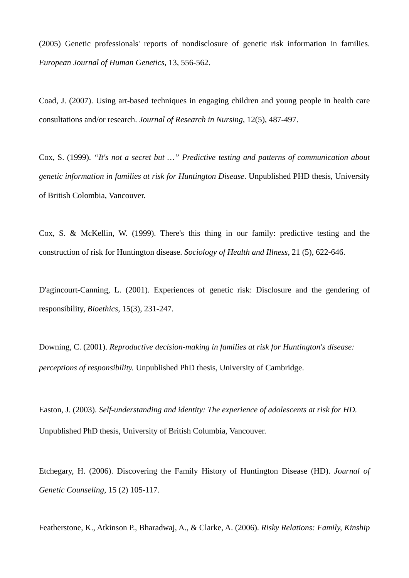(2005) Genetic professionals' reports of nondisclosure of genetic risk information in families. *European Journal of Human Genetics*, 13, 556-562.

Coad, J. (2007). Using art-based techniques in engaging children and young people in health care consultations and/or research. *Journal of Research in Nursing*, 12(5), 487-497.

Cox, S. (1999). *"It's not a secret but …" Predictive testing and patterns of communication about genetic information in families at risk for Huntington Disease*. Unpublished PHD thesis, University of British Colombia, Vancouver.

Cox, S. & McKellin, W. (1999). There's this thing in our family: predictive testing and the construction of risk for Huntington disease. *Sociology of Health and Illness*, 21 (5), 622-646.

D'agincourt-Canning, L. (2001). Experiences of genetic risk: Disclosure and the gendering of responsibility, *Bioethics*, 15(3), 231-247.

Downing, C. (2001). *Reproductive decision-making in families at risk for Huntington's disease: perceptions of responsibility.* Unpublished PhD thesis, University of Cambridge.

Easton, J. (2003). *Self-understanding and identity: The experience of adolescents at risk for HD.* Unpublished PhD thesis, University of British Columbia, Vancouver.

Etchegary, H. (2006). Discovering the Family History of Huntington Disease (HD). *Journal of Genetic Counseling*, 15 (2) 105-117.

Featherstone, K., Atkinson P., Bharadwaj, A., & Clarke, A. (2006). *Risky Relations: Family, Kinship*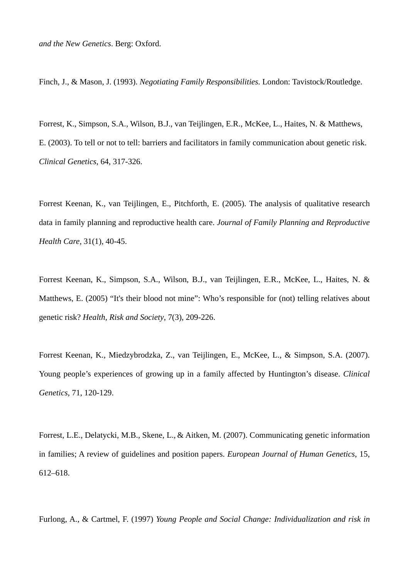Finch, J., & Mason, J. (1993). *Negotiating Family Responsibilities.* London: Tavistock/Routledge.

Forrest, K., Simpson, S.A., Wilson, B.J., van Teijlingen, E.R., McKee, L., Haites, N. & Matthews, E. (2003). To tell or not to tell: barriers and facilitators in family communication about genetic risk. *Clinical Genetics*, 64, 317-326.

Forrest Keenan, K., van Teijlingen, E., Pitchforth, E. (2005). The analysis of qualitative research data in family planning and reproductive health care. *Journal of Family Planning and Reproductive Health Care,* 31(1), 40-45.

Forrest Keenan, K., Simpson, S.A., Wilson, B.J., van Teijlingen, E.R., McKee, L., Haites, N. & Matthews, E. (2005) "It's their blood not mine": Who's responsible for (not) telling relatives about genetic risk? *Health, Risk and Society*, 7(3), 209-226.

Forrest Keenan, K., Miedzybrodzka, Z., van Teijlingen, E., McKee, L., & Simpson, S.A. (2007). Young people's experiences of growing up in a family affected by Huntington's disease. *Clinical Genetics*, 71, 120-129.

Forrest, L.E., Delatycki, M.B., Skene, L., & Aitken, M. (2007). Communicating genetic information in families; A review of guidelines and position papers. *European Journal of Human Genetics*, 15, 612–618.

Furlong, A., & Cartmel, F. (1997) *Young People and Social Change: Individualization and risk in*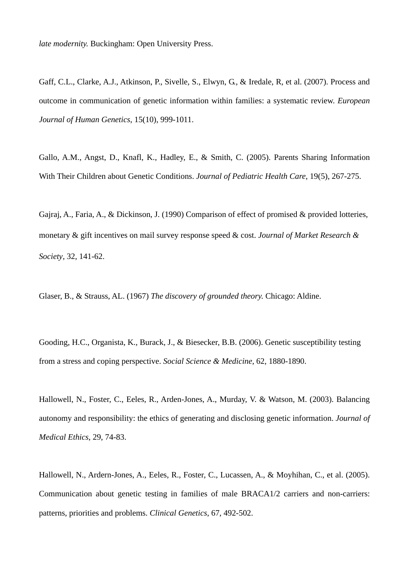*late modernity.* Buckingham: Open University Press.

Gaff, C.L., Clarke, A.J., Atkinson, P., Sivelle, S., Elwyn, G., & Iredale, R, et al. (2007). Process and outcome in communication of genetic information within families: a systematic review. *European Journal of Human Genetics*, 15(10), 999-1011.

Gallo, A.M., Angst, D., Knafl, K., Hadley, E., & Smith, C. (2005). Parents Sharing Information With Their Children about Genetic Conditions. *Journal of Pediatric Health Care*, 19(5), 267-275.

Gajraj, A., Faria, A., & Dickinson, J. (1990) Comparison of effect of promised & provided lotteries, monetary & gift incentives on mail survey response speed & cost. *Journal of Market Research & Society*, 32, 141-62.

Glaser, B., & Strauss, AL. (1967) *The discovery of grounded theory.* Chicago: Aldine.

Gooding, H.C., Organista, K., Burack, J., & Biesecker, B.B. (2006). Genetic susceptibility testing from a stress and coping perspective. *Social Science & Medicine*, 62, 1880-1890.

Hallowell, N., Foster, C., Eeles, R., Arden-Jones, A., Murday, V. & Watson, M. (2003). Balancing autonomy and responsibility: the ethics of generating and disclosing genetic information. *Journal of Medical Ethics*, 29, 74-83.

Hallowell, N., Ardern-Jones, A., Eeles, R., Foster, C., Lucassen, A., & Moyhihan, C., et al. (2005). Communication about genetic testing in families of male BRACA1/2 carriers and non-carriers: patterns, priorities and problems. *Clinical Genetics*, 67, 492-502.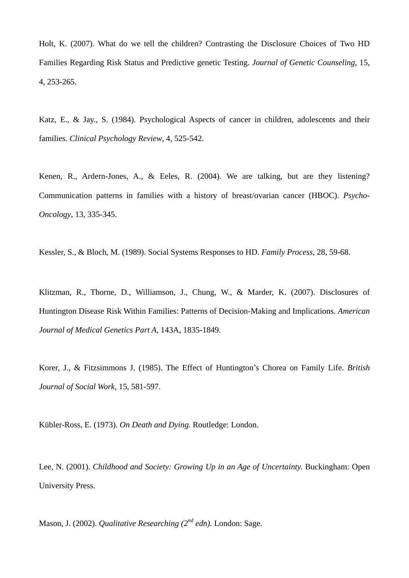Holt, K. (2007). What do we tell the children? Contrasting the Disclosure Choices of Two HD Families Regarding Risk Status and Predictive genetic Testing. *Journal of Genetic Counseling*, 15, 4, 253-265.

Katz, E., & Jay., S. (1984). Psychological Aspects of cancer in children, adolescents and their families. *Clinical Psychology Review*, 4, 525-542.

Kenen, R., Ardern-Jones, A., & Eeles, R. (2004). We are talking, but are they listening? Communication patterns in families with a history of breast/ovarian cancer (HBOC). *Psycho-Oncology*, 13, 335-345.

Kessler, S., & Bloch, M. (1989). Social Systems Responses to HD. *Family Process*, 28, 59-68.

Klitzman, R., Thorne, D., Williamson, J., Chung, W., & Marder, K. (2007). Disclosures of Huntington Disease Risk Within Families: Patterns of Decision-Making and Implications. *American Journal of Medical Genetics Part A*, 143A, 1835-1849.

Korer, J., & Fitzsimmons J. (1985). The Effect of Huntington's Chorea on Family Life. *British Journal of Social Work*, 15, 581-597.

Kübler-Ross, E. (1973). *On Death and Dying.* Routledge: London.

Lee, N. (2001). *Childhood and Society: Growing Up in an Age of Uncertainty.* Buckingham: Open University Press.

Mason, J. (2002). *Qualitative Researching (2nd edn).* London: Sage.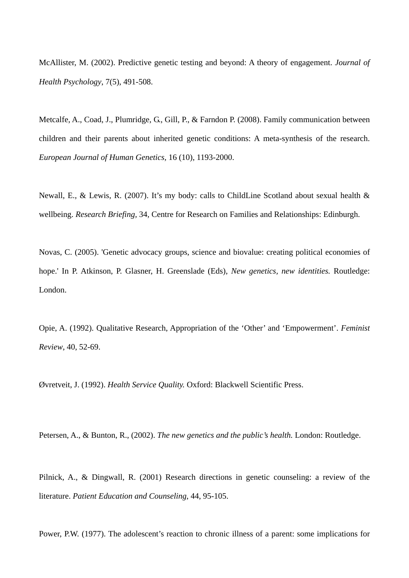McAllister, M. (2002). Predictive genetic testing and beyond: A theory of engagement. *Journal of Health Psychology*, 7(5), 491-508.

Metcalfe, A., Coad, J., Plumridge, G., Gill, P., & Farndon P. (2008). Family communication between children and their parents about inherited genetic conditions: A meta-synthesis of the research. *European Journal of Human Genetics,* 16 (10), 1193-2000.

Newall, E., & Lewis, R. (2007). It's my body: calls to ChildLine Scotland about sexual health & wellbeing. *Research Briefing,* 34, Centre for Research on Families and Relationships: Edinburgh.

Novas, C. (2005). 'Genetic advocacy groups, science and biovalue: creating political economies of hope.' In P. Atkinson, P. Glasner, H. Greenslade (Eds), *New genetics, new identities.* Routledge: London.

Opie, A. (1992). Qualitative Research, Appropriation of the 'Other' and 'Empowerment'. *Feminist Review*, 40, 52-69.

Øvretveit, J. (1992). *Health Service Quality.* Oxford: Blackwell Scientific Press.

Petersen, A., & Bunton, R., (2002). *The new genetics and the public's health.* London: Routledge.

Pilnick, A., & Dingwall, R. (2001) Research directions in genetic counseling: a review of the literature. *Patient Education and Counseling*, 44, 95-105.

Power, P.W. (1977). The adolescent's reaction to chronic illness of a parent: some implications for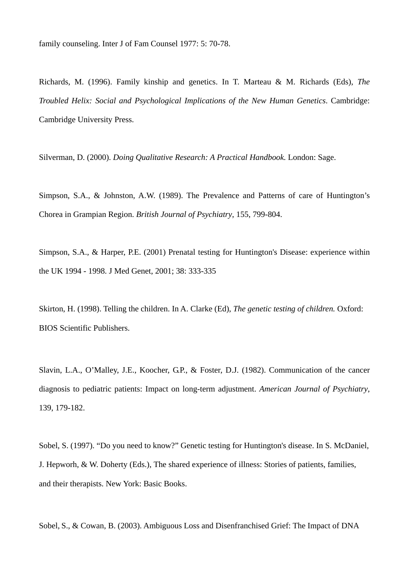family counseling. Inter J of Fam Counsel 1977: 5: 70-78.

Richards, M. (1996). Family kinship and genetics. In T. Marteau & M. Richards (Eds), *The Troubled Helix: Social and Psychological Implications of the New Human Genetics*. Cambridge: Cambridge University Press.

Silverman, D. (2000). *Doing Qualitative Research: A Practical Handbook.* London: Sage.

Simpson, S.A., & Johnston, A.W. (1989). The Prevalence and Patterns of care of Huntington's Chorea in Grampian Region. *British Journal of Psychiatry*, 155, 799-804.

Simpson, S.A., & Harper, P.E. (2001) Prenatal testing for Huntington's Disease: experience within the UK 1994 - 1998. J Med Genet, 2001; 38: 333-335

Skirton, H. (1998). Telling the children. In A. Clarke (Ed), *The genetic testing of children.* Oxford: BIOS Scientific Publishers.

Slavin, L.A., O'Malley, J.E., Koocher, G.P., & Foster, D.J. (1982). Communication of the cancer diagnosis to pediatric patients: Impact on long-term adjustment. *American Journal of Psychiatry*, 139, 179-182.

Sobel, S. (1997). "Do you need to know?" Genetic testing for Huntington's disease. In S. McDaniel, J. Hepworh, & W. Doherty (Eds.), The shared experience of illness: Stories of patients, families, and their therapists. New York: Basic Books.

Sobel, S., & Cowan, B. (2003). Ambiguous Loss and Disenfranchised Grief: The Impact of DNA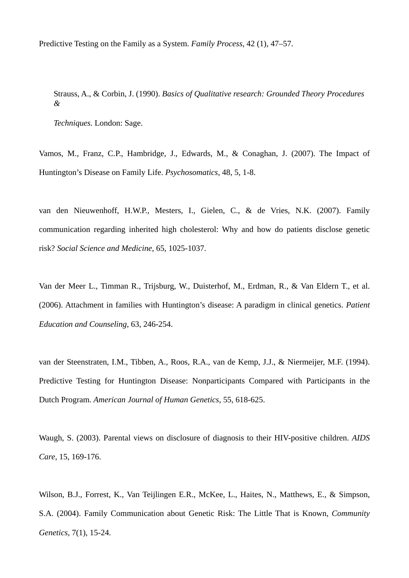Predictive Testing on the Family as a System. *Family Process*, 42 (1), 47–57.

Strauss, A., & Corbin, J. (1990). *Basics of Qualitative research: Grounded Theory Procedures &* 

*Techniques.* London: Sage.

Vamos, M., Franz, C.P., Hambridge, J., Edwards, M., & Conaghan, J. (2007). The Impact of Huntington's Disease on Family Life. *Psychosomatics*, 48, 5, 1-8.

van den Nieuwenhoff, H.W.P., Mesters, I., Gielen, C., & de Vries, N.K. (2007). Family communication regarding inherited high cholesterol: Why and how do patients disclose genetic risk? *Social Science and Medicine*, 65, 1025-1037.

Van der Meer L., Timman R., Trijsburg, W., Duisterhof, M., Erdman, R., & Van Eldern T., et al. (2006). Attachment in families with Huntington's disease: A paradigm in clinical genetics. *Patient Education and Counseling*, 63, 246-254.

van der Steenstraten, I.M., Tibben, A., Roos, R.A., van de Kemp, J.J., & Niermeijer, M.F. (1994). Predictive Testing for Huntington Disease: Nonparticipants Compared with Participants in the Dutch Program. *American Journal of Human Genetics*, 55, 618-625.

Waugh, S. (2003). Parental views on disclosure of diagnosis to their HIV-positive children. *AIDS Care*, 15, 169-176.

Wilson, B.J., Forrest, K., Van Teijlingen E.R., McKee, L., Haites, N., Matthews, E., & Simpson, S.A. (2004). Family Communication about Genetic Risk: The Little That is Known, *Community Genetics*, 7(1), 15-24.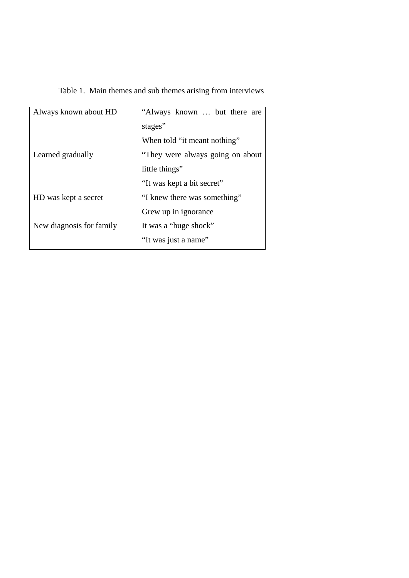| Table 1. Main themes and sub themes arising from interviews |  |
|-------------------------------------------------------------|--|

| Always known about HD    | "Always known  but there are     |  |  |  |  |
|--------------------------|----------------------------------|--|--|--|--|
|                          | stages"                          |  |  |  |  |
|                          | When told "it meant nothing"     |  |  |  |  |
| Learned gradually        | "They were always going on about |  |  |  |  |
|                          | little things"                   |  |  |  |  |
|                          | "It was kept a bit secret"       |  |  |  |  |
| HD was kept a secret     | "I knew there was something"     |  |  |  |  |
|                          | Grew up in ignorance             |  |  |  |  |
| New diagnosis for family | It was a "huge shock"            |  |  |  |  |
|                          | "It was just a name"             |  |  |  |  |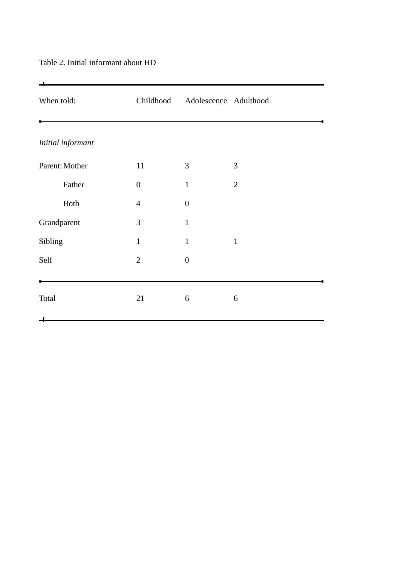# $\div$ When told: Childhood Adolescence Adulthood J. *Initial informant*  Parent: Mother 11 3 3 Father 0 1 2 Both  $4$  0 Grandparent 3 1 Sibling 1 1 1 1 Self 2 0  $\bullet$ 4 Total  $21$  6 6  $\begin{tabular}{cc} \multicolumn{2}{c}{} & \multicolumn{2}{c}{} & \multicolumn{2}{c}{} & \multicolumn{2}{c}{} & \multicolumn{2}{c}{} & \multicolumn{2}{c}{} & \multicolumn{2}{c}{} & \multicolumn{2}{c}{} & \multicolumn{2}{c}{} & \multicolumn{2}{c}{} & \multicolumn{2}{c}{} & \multicolumn{2}{c}{} & \multicolumn{2}{c}{} & \multicolumn{2}{c}{} & \multicolumn{2}{c}{} & \multicolumn{2}{c}{} & \multicolumn{2}{c}{} & \multicolumn{2}{c}{} & \multicolumn{2}{c}{} & \multic$

## Table 2. Initial informant about HD